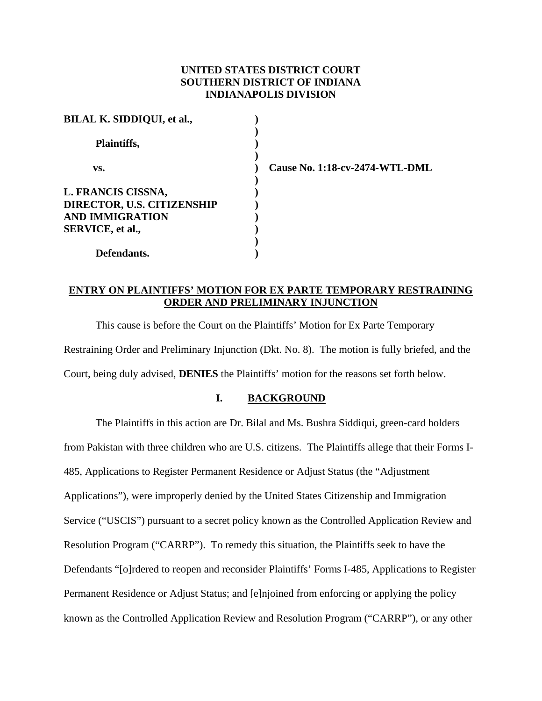## **UNITED STATES DISTRICT COURT SOUTHERN DISTRICT OF INDIANA INDIANAPOLIS DIVISION**

| BILAL K. SIDDIQUI, et al., |  |
|----------------------------|--|
|                            |  |
| Plaintiffs,                |  |
|                            |  |
| VS.                        |  |
|                            |  |
| L. FRANCIS CISSNA,         |  |
| DIRECTOR, U.S. CITIZENSHIP |  |
| <b>AND IMMIGRATION</b>     |  |
| <b>SERVICE, et al.,</b>    |  |
|                            |  |
| Defendants.                |  |

 **vs. ) Cause No. 1:18-cv-2474-WTL-DML** 

## **ENTRY ON PLAINTIFFS' MOTION FOR EX PARTE TEMPORARY RESTRAINING ORDER AND PRELIMINARY INJUNCTION**

This cause is before the Court on the Plaintiffs' Motion for Ex Parte Temporary Restraining Order and Preliminary Injunction (Dkt. No. 8). The motion is fully briefed, and the Court, being duly advised, **DENIES** the Plaintiffs' motion for the reasons set forth below.

### **I. BACKGROUND**

The Plaintiffs in this action are Dr. Bilal and Ms. Bushra Siddiqui, green-card holders from Pakistan with three children who are U.S. citizens. The Plaintiffs allege that their Forms I-485, Applications to Register Permanent Residence or Adjust Status (the "Adjustment Applications"), were improperly denied by the United States Citizenship and Immigration Service ("USCIS") pursuant to a secret policy known as the Controlled Application Review and Resolution Program ("CARRP"). To remedy this situation, the Plaintiffs seek to have the Defendants "[o]rdered to reopen and reconsider Plaintiffs' Forms I-485, Applications to Register Permanent Residence or Adjust Status; and [e]njoined from enforcing or applying the policy known as the Controlled Application Review and Resolution Program ("CARRP"), or any other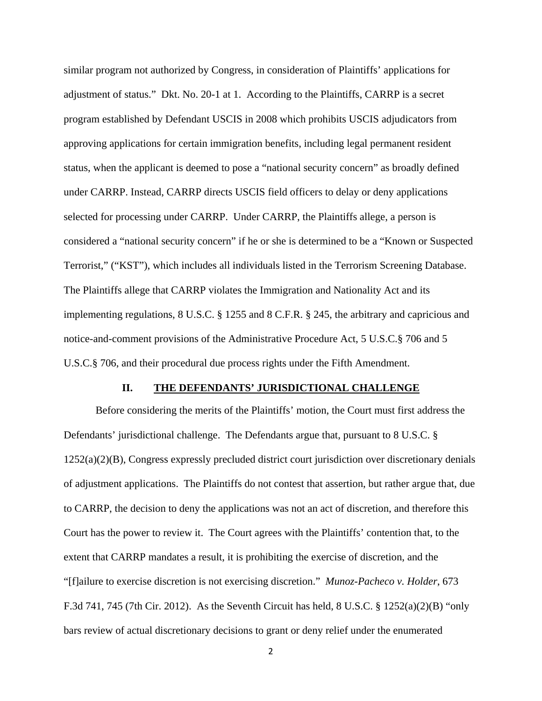similar program not authorized by Congress, in consideration of Plaintiffs' applications for adjustment of status." Dkt. No. 20-1 at 1. According to the Plaintiffs, CARRP is a secret program established by Defendant USCIS in 2008 which prohibits USCIS adjudicators from approving applications for certain immigration benefits, including legal permanent resident status, when the applicant is deemed to pose a "national security concern" as broadly defined under CARRP. Instead, CARRP directs USCIS field officers to delay or deny applications selected for processing under CARRP. Under CARRP, the Plaintiffs allege, a person is considered a "national security concern" if he or she is determined to be a "Known or Suspected Terrorist," ("KST"), which includes all individuals listed in the Terrorism Screening Database. The Plaintiffs allege that CARRP violates the Immigration and Nationality Act and its implementing regulations, 8 U.S.C. § 1255 and 8 C.F.R. § 245, the arbitrary and capricious and notice-and-comment provisions of the Administrative Procedure Act, 5 U.S.C.§ 706 and 5 U.S.C.§ 706, and their procedural due process rights under the Fifth Amendment.

### **II. THE DEFENDANTS' JURISDICTIONAL CHALLENGE**

Before considering the merits of the Plaintiffs' motion, the Court must first address the Defendants' jurisdictional challenge. The Defendants argue that, pursuant to 8 U.S.C. § 1252(a)(2)(B), Congress expressly precluded district court jurisdiction over discretionary denials of adjustment applications. The Plaintiffs do not contest that assertion, but rather argue that, due to CARRP, the decision to deny the applications was not an act of discretion, and therefore this Court has the power to review it. The Court agrees with the Plaintiffs' contention that, to the extent that CARRP mandates a result, it is prohibiting the exercise of discretion, and the "[f]ailure to exercise discretion is not exercising discretion." *Munoz-Pacheco v. Holder*, 673 F.3d 741, 745 (7th Cir. 2012). As the Seventh Circuit has held, 8 U.S.C. § 1252(a)(2)(B) "only bars review of actual discretionary decisions to grant or deny relief under the enumerated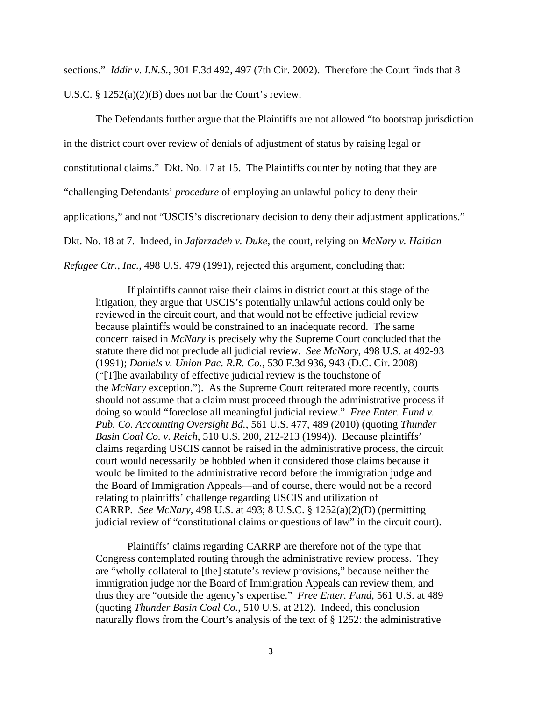sections." *Iddir v. I.N.S.*, 301 F.3d 492, 497 (7th Cir. 2002). Therefore the Court finds that 8 U.S.C.  $\S 1252(a)(2)(B)$  does not bar the Court's review.

The Defendants further argue that the Plaintiffs are not allowed "to bootstrap jurisdiction in the district court over review of denials of adjustment of status by raising legal or constitutional claims." Dkt. No. 17 at 15. The Plaintiffs counter by noting that they are "challenging Defendants' *procedure* of employing an unlawful policy to deny their applications," and not "USCIS's discretionary decision to deny their adjustment applications." Dkt. No. 18 at 7. Indeed, in *Jafarzadeh v. Duke*, the court, relying on *McNary v. Haitian Refugee Ctr., Inc.*, 498 U.S. 479 (1991), rejected this argument, concluding that:

If plaintiffs cannot raise their claims in district court at this stage of the litigation, they argue that USCIS's potentially unlawful actions could only be reviewed in the circuit court, and that would not be effective judicial review because plaintiffs would be constrained to an inadequate record. The same concern raised in *McNary* is precisely why the Supreme Court concluded that the statute there did not preclude all judicial review. *See McNary*, 498 U.S. at 492-93 (1991); *Daniels v. Union Pac. R.R. Co.*, 530 F.3d 936, 943 (D.C. Cir. 2008) ("[T]he availability of effective judicial review is the touchstone of the *McNary* exception."). As the Supreme Court reiterated more recently, courts should not assume that a claim must proceed through the administrative process if doing so would "foreclose all meaningful judicial review." *Free Enter. Fund v. Pub. Co. Accounting Oversight Bd.*, 561 U.S. 477, 489 (2010) (quoting *Thunder Basin Coal Co. v. Reich*, 510 U.S. 200, 212-213 (1994)). Because plaintiffs' claims regarding USCIS cannot be raised in the administrative process, the circuit court would necessarily be hobbled when it considered those claims because it would be limited to the administrative record before the immigration judge and the Board of Immigration Appeals—and of course, there would not be a record relating to plaintiffs' challenge regarding USCIS and utilization of CARRP*. See McNary*, 498 U.S. at 493; 8 U.S.C. § 1252(a)(2)(D) (permitting judicial review of "constitutional claims or questions of law" in the circuit court).

Plaintiffs' claims regarding CARRP are therefore not of the type that Congress contemplated routing through the administrative review process. They are "wholly collateral to [the] statute's review provisions," because neither the immigration judge nor the Board of Immigration Appeals can review them, and thus they are "outside the agency's expertise." *Free Enter. Fund*, 561 U.S. at 489 (quoting *Thunder Basin Coal Co.*, 510 U.S. at 212). Indeed, this conclusion naturally flows from the Court's analysis of the text of § 1252: the administrative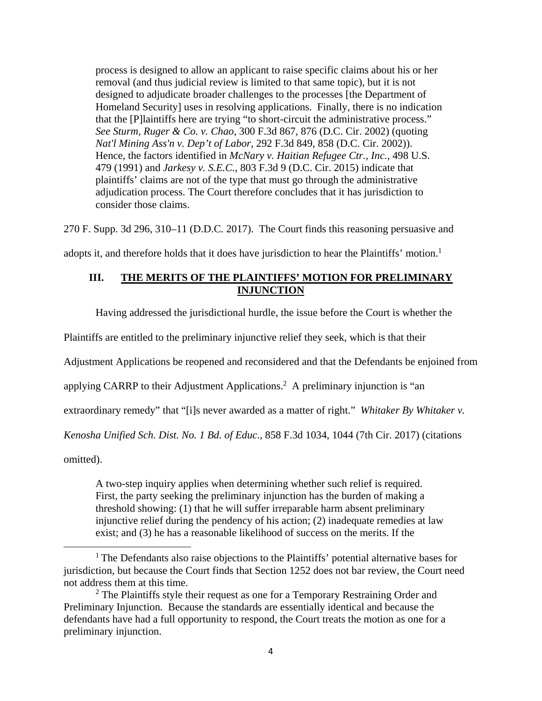process is designed to allow an applicant to raise specific claims about his or her removal (and thus judicial review is limited to that same topic), but it is not designed to adjudicate broader challenges to the processes [the Department of Homeland Security] uses in resolving applications. Finally, there is no indication that the [P]laintiffs here are trying "to short-circuit the administrative process." *See Sturm, Ruger & Co. v. Chao*, 300 F.3d 867, 876 (D.C. Cir. 2002) (quoting *Nat'l Mining Ass'n v. Dep't of Labor*, 292 F.3d 849, 858 (D.C. Cir. 2002)). Hence, the factors identified in *McNary v. Haitian Refugee Ctr., Inc.*, 498 U.S. 479 (1991) and *Jarkesy v. S.E.C.*, 803 F.3d 9 (D.C. Cir. 2015) indicate that plaintiffs' claims are not of the type that must go through the administrative adjudication process. The Court therefore concludes that it has jurisdiction to consider those claims.

270 F. Supp. 3d 296, 310–11 (D.D.C. 2017). The Court finds this reasoning persuasive and

adopts it, and therefore holds that it does have jurisdiction to hear the Plaintiffs' motion.<sup>1</sup>

## **III. THE MERITS OF THE PLAINTIFFS' MOTION FOR PRELIMINARY INJUNCTION**

Having addressed the jurisdictional hurdle, the issue before the Court is whether the

Plaintiffs are entitled to the preliminary injunctive relief they seek, which is that their

Adjustment Applications be reopened and reconsidered and that the Defendants be enjoined from

applying CARRP to their Adjustment Applications.<sup>2</sup> A preliminary injunction is "an

extraordinary remedy" that "[i]s never awarded as a matter of right." *Whitaker By Whitaker v.* 

*Kenosha Unified Sch. Dist. No. 1 Bd. of Educ.*, 858 F.3d 1034, 1044 (7th Cir. 2017) (citations

omitted).

A two-step inquiry applies when determining whether such relief is required. First, the party seeking the preliminary injunction has the burden of making a threshold showing: (1) that he will suffer irreparable harm absent preliminary injunctive relief during the pendency of his action; (2) inadequate remedies at law exist; and (3) he has a reasonable likelihood of success on the merits. If the

<sup>&</sup>lt;sup>1</sup> The Defendants also raise objections to the Plaintiffs' potential alternative bases for jurisdiction, but because the Court finds that Section 1252 does not bar review, the Court need not address them at this time.

 $2$  The Plaintiffs style their request as one for a Temporary Restraining Order and Preliminary Injunction. Because the standards are essentially identical and because the defendants have had a full opportunity to respond, the Court treats the motion as one for a preliminary injunction.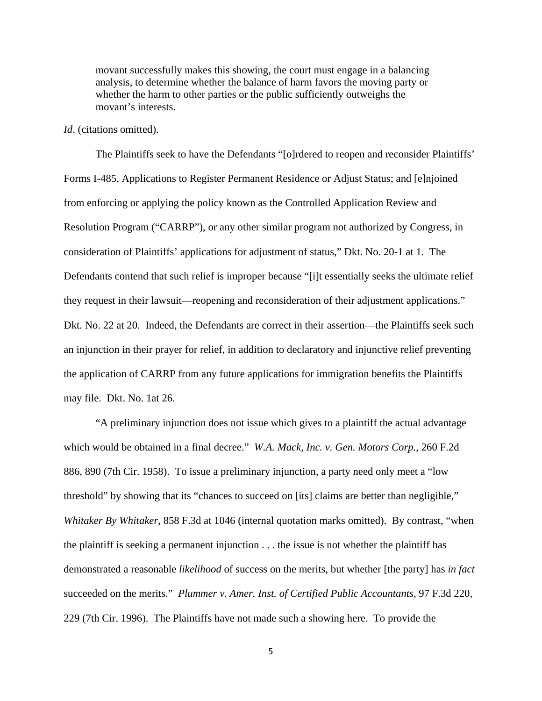movant successfully makes this showing, the court must engage in a balancing analysis, to determine whether the balance of harm favors the moving party or whether the harm to other parties or the public sufficiently outweighs the movant's interests.

#### *Id*. (citations omitted).

The Plaintiffs seek to have the Defendants "[o]rdered to reopen and reconsider Plaintiffs' Forms I-485, Applications to Register Permanent Residence or Adjust Status; and [e]njoined from enforcing or applying the policy known as the Controlled Application Review and Resolution Program ("CARRP"), or any other similar program not authorized by Congress, in consideration of Plaintiffs' applications for adjustment of status," Dkt. No. 20-1 at 1. The Defendants contend that such relief is improper because "[i]t essentially seeks the ultimate relief they request in their lawsuit—reopening and reconsideration of their adjustment applications." Dkt. No. 22 at 20. Indeed, the Defendants are correct in their assertion—the Plaintiffs seek such an injunction in their prayer for relief, in addition to declaratory and injunctive relief preventing the application of CARRP from any future applications for immigration benefits the Plaintiffs may file. Dkt. No. 1at 26.

"A preliminary injunction does not issue which gives to a plaintiff the actual advantage which would be obtained in a final decree." *W.A. Mack, Inc. v. Gen. Motors Corp.*, 260 F.2d 886, 890 (7th Cir. 1958). To issue a preliminary injunction, a party need only meet a "low threshold" by showing that its "chances to succeed on [its] claims are better than negligible," *Whitaker By Whitaker*, 858 F.3d at 1046 (internal quotation marks omitted). By contrast, "when the plaintiff is seeking a permanent injunction . . . the issue is not whether the plaintiff has demonstrated a reasonable *likelihood* of success on the merits, but whether [the party] has *in fact*  succeeded on the merits." *Plummer v. Amer. Inst. of Certified Public Accountants*, 97 F.3d 220, 229 (7th Cir. 1996). The Plaintiffs have not made such a showing here. To provide the

5